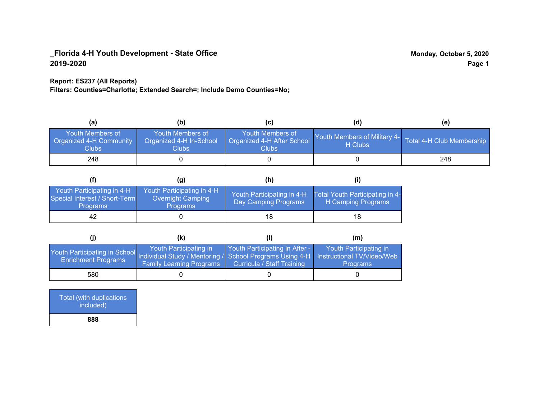### **Report: ES237 (All Reports)**

**Filters: Counties=Charlotte; Extended Search=; Include Demo Counties=No;**

| (a)                                                                | (b)                                                   | (C)                                                       | (d)                                                               | (e) |
|--------------------------------------------------------------------|-------------------------------------------------------|-----------------------------------------------------------|-------------------------------------------------------------------|-----|
| <b>Youth Members of</b><br><b>Organized 4-H Community</b><br>Clubs | Youth Members of<br>Organized 4-H In-School<br>Clubs: | Youth Members of<br>Organized 4-H After School<br>Clubs : | Youth Members of Military 4- Total 4-H Club Membership<br>H Clubs |     |
| 248                                                                |                                                       |                                                           |                                                                   | 248 |

|                                                                                | (g)                                                                | (h)                                                |                                                       |
|--------------------------------------------------------------------------------|--------------------------------------------------------------------|----------------------------------------------------|-------------------------------------------------------|
| Youth Participating in 4-H<br>Special Interest / Short-Term<br><b>Programs</b> | Youth Participating in 4-H<br>Overnight Camping<br><b>Programs</b> | Youth Participating in 4-H<br>Day Camping Programs | Total Youth Participating in 4-<br>H Camping Programs |
| 42                                                                             |                                                                    | 18                                                 |                                                       |

|                                                                                                                                                 | (k)                                                       |                                                                     | (m)                                       |
|-------------------------------------------------------------------------------------------------------------------------------------------------|-----------------------------------------------------------|---------------------------------------------------------------------|-------------------------------------------|
| Youth Participating in School Individual Study / Mentoring / School Programs Using 4-H Instructional TV/Video/Web<br><b>Enrichment Programs</b> | Youth Participating in<br><b>Family Learning Programs</b> | Youth Participating in After -<br><b>Curricula / Staff Training</b> | Youth Participating in<br><b>Programs</b> |
| 580                                                                                                                                             |                                                           |                                                                     |                                           |

| Total (with duplications<br>included) |
|---------------------------------------|
| 888                                   |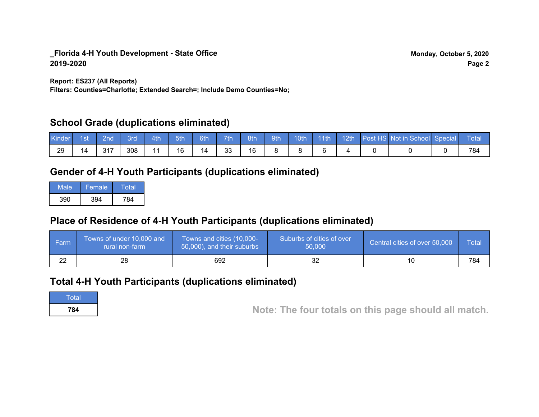**Report: ES237 (All Reports)**

**Filters: Counties=Charlotte; Extended Search=; Include Demo Counties=No;**

## **School Grade (duplications eliminated)**

| Kinde | 1st | 2nd   | вrо | 4th | 5th | 6th | 7 <sub>th</sub> | 8th | 9th | 10th | 11th | 12th | Post HS Not in School Special | Total |
|-------|-----|-------|-----|-----|-----|-----|-----------------|-----|-----|------|------|------|-------------------------------|-------|
| 29    | 14  | ⌒ ィ ラ | 308 | A A | 16  | 14  | 33              | 16  |     |      |      |      |                               | 784   |

## **Gender of 4-H Youth Participants (duplications eliminated)**

| Male | Female. | Total |
|------|---------|-------|
| 390  | 394     | 784   |

# **Place of Residence of 4-H Youth Participants (duplications eliminated)**

| ∣ Farm   | Towns of under 10,000 and<br>rural non-farm | Towns and cities (10,000-<br>50,000), and their suburbs | Suburbs of cities of over<br>50,000 | Central cities of over 50,000 | Total |
|----------|---------------------------------------------|---------------------------------------------------------|-------------------------------------|-------------------------------|-------|
| ົດ<br>22 | 28                                          | 692                                                     |                                     | 11                            | 784   |

## **Total 4-H Youth Participants (duplications eliminated)**

**Total** 

**<sup>784</sup> Note: The four totals on this page should all match.**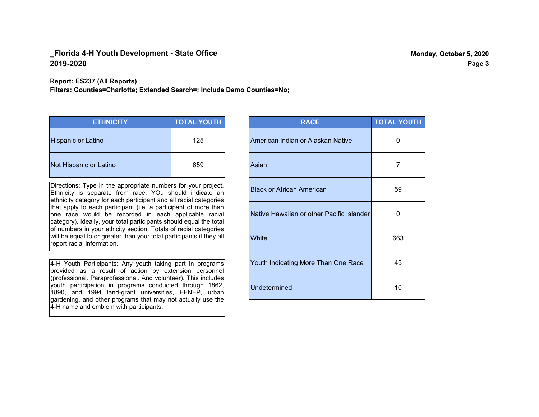**Report: ES237 (All Reports)**

**Filters: Counties=Charlotte; Extended Search=; Include Demo Counties=No;**

| <b>ETHNICITY</b>          | <b>TOTAL YOUTH</b> |
|---------------------------|--------------------|
| <b>Hispanic or Latino</b> | 125                |
| Not Hispanic or Latino    | 659                |

Directions: Type in the appropriate numbers for your project. Ethnicity is separate from race. YOu should indicate an ethnicity category for each participant and all racial categories that apply to each participant (i.e. a participant of more than one race would be recorded in each applicable racial category). Ideally, your total participants should equal the total of numbers in your ethicity section. Totals of racial categories will be equal to or greater than your total participants if they all report racial information.

4-H Youth Participants: Any youth taking part in programs provided as a result of action by extension personnel (professional. Paraprofessional. And volunteer). This includes youth participation in programs conducted through 1862, 1890, and 1994 land-grant universities, EFNEP, urban gardening, and other programs that may not actually use the 4-H name and emblem with participants.

| <b>RACE</b>                               | <b>TOTAL YOUTH</b> |
|-------------------------------------------|--------------------|
| American Indian or Alaskan Native         | 0                  |
| Asian                                     | 7                  |
| <b>Black or African American</b>          | 59                 |
| Native Hawaiian or other Pacific Islander | 0                  |
| White                                     | 663                |
| Youth Indicating More Than One Race       | 45                 |
| <b>Undetermined</b>                       | 10                 |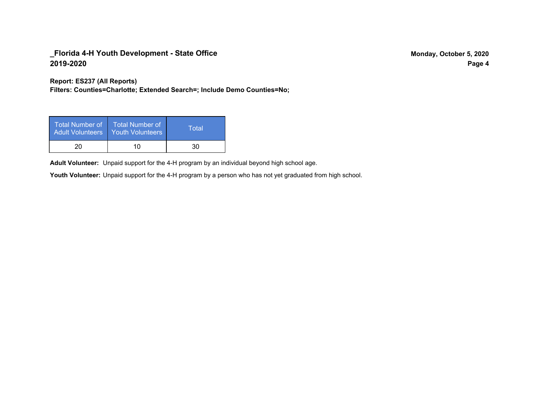**Report: ES237 (All Reports)**

**Filters: Counties=Charlotte; Extended Search=; Include Demo Counties=No;**

| Total Number of<br><b>Adult Volunteers</b> | ا Total Number of<br><b>Youth Volunteers</b> | Total |
|--------------------------------------------|----------------------------------------------|-------|
| 20                                         | 10                                           | 30    |

Adult Volunteer: Unpaid support for the 4-H program by an individual beyond high school age.

Youth Volunteer: Unpaid support for the 4-H program by a person who has not yet graduated from high school.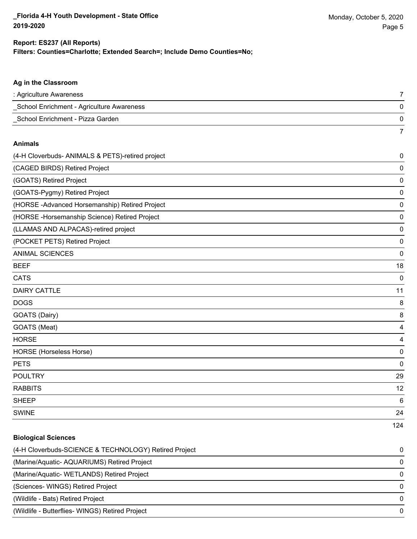124

#### **Filters: Counties=Charlotte; Extended Search=; Include Demo Counties=No; Report: ES237 (All Reports)**

# **Ag in the Classroom** : Agriculture Awareness 7 \_School Enrichment - Agriculture Awareness 0 \_School Enrichment - Pizza Garden 0 7 **Animals** (4-H Cloverbuds- ANIMALS & PETS)-retired project 0 (CAGED BIRDS) Retired Project 0 (GOATS) Retired Project 0 (GOATS-Pygmy) Retired Project 0 (HORSE -Advanced Horsemanship) Retired Project 0 (HORSE -Horsemanship Science) Retired Project 0 (LLAMAS AND ALPACAS)-retired project 0 (POCKET PETS) Retired Project 0 ANIMAL SCIENCES 0 BEEF 18 CATS 0 DAIRY CATTLE 2012 11 20 12:00:00 12:00:00 12:00:00 12:00:00 12:00:00 12:00:00 12:00:00 12:00:00 12:00:00 12:00 DOGS 8 GOATS (Dairy) 8 GOATS (Meat) 4 HORSE 4 HORSE (Horseless Horse) 0 PETS 0 POULTRY 29 RABBITS 12 SHEEP 6 SWINE 24

# **Biological Sciences** (4-H Cloverbuds-SCIENCE & TECHNOLOGY) Retired Project 0 (Marine/Aquatic- AQUARIUMS) Retired Project 0 (Marine/Aquatic- WETLANDS) Retired Project 0 (Sciences- WINGS) Retired Project 0 (Wildlife - Bats) Retired Project 0 (Wildlife - Butterflies- WINGS) Retired Project 0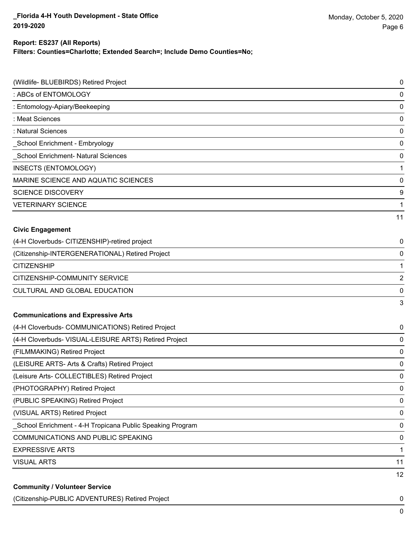# **Report: ES237 (All Reports)**

**Filters: Counties=Charlotte; Extended Search=; Include Demo Counties=No;**

| (Wildlife- BLUEBIRDS) Retired Project                     | 0  |
|-----------------------------------------------------------|----|
| : ABCs of ENTOMOLOGY                                      | 0  |
| : Entomology-Apiary/Beekeeping                            | 0  |
| : Meat Sciences                                           | 0  |
| : Natural Sciences                                        | 0  |
| School Enrichment - Embryology                            | 0  |
| School Enrichment- Natural Sciences                       | 0  |
| <b>INSECTS (ENTOMOLOGY)</b>                               | 1  |
| MARINE SCIENCE AND AQUATIC SCIENCES                       | 0  |
| <b>SCIENCE DISCOVERY</b>                                  | 9  |
| <b>VETERINARY SCIENCE</b>                                 | 1  |
|                                                           | 11 |
| <b>Civic Engagement</b>                                   |    |
| (4-H Cloverbuds- CITIZENSHIP)-retired project             | 0  |
| (Citizenship-INTERGENERATIONAL) Retired Project           | 0  |
| <b>CITIZENSHIP</b>                                        | 1  |
| CITIZENSHIP-COMMUNITY SERVICE                             | 2  |
| CULTURAL AND GLOBAL EDUCATION                             | 0  |
|                                                           | 3  |
| <b>Communications and Expressive Arts</b>                 |    |
| (4-H Cloverbuds- COMMUNICATIONS) Retired Project          | 0  |
| (4-H Cloverbuds- VISUAL-LEISURE ARTS) Retired Project     | 0  |
| (FILMMAKING) Retired Project                              | 0  |
| (LEISURE ARTS- Arts & Crafts) Retired Project             | 0  |
| (Leisure Arts- COLLECTIBLES) Retired Project              | 0  |
| (PHOTOGRAPHY) Retired Project                             | 0  |
| (PUBLIC SPEAKING) Retired Project                         | 0  |
| (VISUAL ARTS) Retired Project                             | 0  |
| School Enrichment - 4-H Tropicana Public Speaking Program | 0  |
| COMMUNICATIONS AND PUBLIC SPEAKING                        | 0  |
| <b>EXPRESSIVE ARTS</b>                                    | 1  |
| <b>VISUAL ARTS</b>                                        | 11 |
|                                                           | 12 |
| <b>Community / Volunteer Service</b>                      |    |

(Citizenship-PUBLIC ADVENTURES) Retired Project 0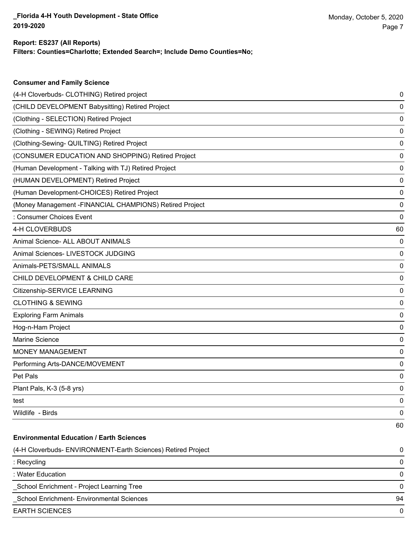**Consumer and Family Science**

### **Filters: Counties=Charlotte; Extended Search=; Include Demo Counties=No; Report: ES237 (All Reports)**

| (4-H Cloverbuds- CLOTHING) Retired project                   | 0  |
|--------------------------------------------------------------|----|
| (CHILD DEVELOPMENT Babysitting) Retired Project              | 0  |
| (Clothing - SELECTION) Retired Project                       | 0  |
| (Clothing - SEWING) Retired Project                          | 0  |
| (Clothing-Sewing- QUILTING) Retired Project                  | 0  |
| (CONSUMER EDUCATION AND SHOPPING) Retired Project            | 0  |
| (Human Development - Talking with TJ) Retired Project        | 0  |
| (HUMAN DEVELOPMENT) Retired Project                          | 0  |
| (Human Development-CHOICES) Retired Project                  | 0  |
| (Money Management - FINANCIAL CHAMPIONS) Retired Project     | 0  |
| : Consumer Choices Event                                     | 0  |
| 4-H CLOVERBUDS                                               | 60 |
| Animal Science- ALL ABOUT ANIMALS                            | 0  |
| Animal Sciences- LIVESTOCK JUDGING                           | 0  |
| Animals-PETS/SMALL ANIMALS                                   | 0  |
| CHILD DEVELOPMENT & CHILD CARE                               | 0  |
| Citizenship-SERVICE LEARNING                                 | 0  |
| <b>CLOTHING &amp; SEWING</b>                                 | 0  |
| <b>Exploring Farm Animals</b>                                | 0  |
| Hog-n-Ham Project                                            | 0  |
| Marine Science                                               | 0  |
| <b>MONEY MANAGEMENT</b>                                      | 0  |
| Performing Arts-DANCE/MOVEMENT                               | 0  |
| Pet Pals                                                     | 0  |
| Plant Pals, K-3 (5-8 yrs)                                    | 0  |
| test                                                         | 0  |
| Wildlife - Birds                                             | 0  |
|                                                              | 60 |
| <b>Environmental Education / Earth Sciences</b>              |    |
| (4-H Cloverbuds- ENVIRONMENT-Earth Sciences) Retired Project | 0  |
| : Recycling                                                  | 0  |
| : Water Education                                            | 0  |
| School Enrichment - Project Learning Tree                    | 0  |
| School Enrichment- Environmental Sciences                    | 94 |
| <b>EARTH SCIENCES</b>                                        | 0  |
|                                                              |    |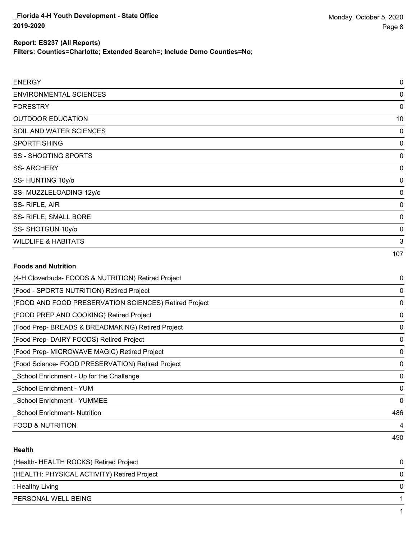**Filters: Counties=Charlotte; Extended Search=; Include Demo Counties=No;**

| <b>ENERGY</b>                  | 0   |
|--------------------------------|-----|
| <b>ENVIRONMENTAL SCIENCES</b>  | 0   |
| <b>FORESTRY</b>                | 0   |
| <b>OUTDOOR EDUCATION</b>       | 10  |
| SOIL AND WATER SCIENCES        | 0   |
| <b>SPORTFISHING</b>            | 0   |
| SS - SHOOTING SPORTS           | 0   |
| <b>SS-ARCHERY</b>              | 0   |
| SS-HUNTING 10y/o               | 0   |
| SS-MUZZLELOADING 12y/o         | 0   |
| SS-RIFLE, AIR                  | 0   |
| SS- RIFLE, SMALL BORE          | 0   |
| SS-SHOTGUN 10y/o               | 0   |
| <b>WILDLIFE &amp; HABITATS</b> | 3   |
|                                | 107 |

### **Foods and Nutrition**

| (4-H Cloverbuds- FOODS & NUTRITION) Retired Project   | 0        |
|-------------------------------------------------------|----------|
| (Food - SPORTS NUTRITION) Retired Project             | 0        |
| (FOOD AND FOOD PRESERVATION SCIENCES) Retired Project | 0        |
| (FOOD PREP AND COOKING) Retired Project               | 0        |
| (Food Prep- BREADS & BREADMAKING) Retired Project     | 0        |
| (Food Prep-DAIRY FOODS) Retired Project               | 0        |
| (Food Prep- MICROWAVE MAGIC) Retired Project          | 0        |
| (Food Science- FOOD PRESERVATION) Retired Project     | 0        |
| School Enrichment - Up for the Challenge              | $\Omega$ |
| School Enrichment - YUM                               | 0        |
| <b>School Enrichment - YUMMEE</b>                     | 0        |
| <b>School Enrichment- Nutrition</b>                   | 486      |
| <b>FOOD &amp; NUTRITION</b>                           | 4        |
|                                                       | 490      |

### **Health**

| (Health-HEALTH ROCKS) Retired Project       | 0 |
|---------------------------------------------|---|
| (HEALTH: PHYSICAL ACTIVITY) Retired Project | 0 |
| : Healthy Living                            | 0 |
| PERSONAL WELL BEING                         |   |
|                                             |   |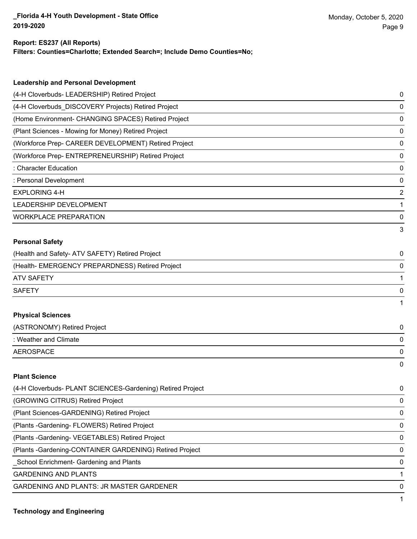### **Report: ES237 (All Reports)**

**Filters: Counties=Charlotte; Extended Search=; Include Demo Counties=No;**

| <b>Leadership and Personal Development</b>                 |                |
|------------------------------------------------------------|----------------|
| (4-H Cloverbuds- LEADERSHIP) Retired Project               | 0              |
| (4-H Cloverbuds_DISCOVERY Projects) Retired Project        | 0              |
| (Home Environment- CHANGING SPACES) Retired Project        | 0              |
| (Plant Sciences - Mowing for Money) Retired Project        | 0              |
| (Workforce Prep- CAREER DEVELOPMENT) Retired Project       | 0              |
| (Workforce Prep- ENTREPRENEURSHIP) Retired Project         | 0              |
| : Character Education                                      | 0              |
| : Personal Development                                     | $\mathbf 0$    |
| <b>EXPLORING 4-H</b>                                       | $\overline{2}$ |
| LEADERSHIP DEVELOPMENT                                     | 1              |
| <b>WORKPLACE PREPARATION</b>                               | 0              |
|                                                            | 3              |
| <b>Personal Safety</b>                                     |                |
| (Health and Safety- ATV SAFETY) Retired Project            | 0              |
| (Health- EMERGENCY PREPARDNESS) Retired Project            | 0              |
| <b>ATV SAFETY</b>                                          | 1              |
| <b>SAFETY</b>                                              | 0              |
|                                                            | 1              |
| <b>Physical Sciences</b>                                   |                |
| (ASTRONOMY) Retired Project                                | 0              |
| : Weather and Climate                                      | 0              |
| <b>AEROSPACE</b>                                           | 0              |
|                                                            | 0              |
| <b>Plant Science</b>                                       |                |
| (4-H Cloverbuds- PLANT SCIENCES-Gardening) Retired Project | 0              |

| 1711 OIUVUDUUS- I EANTI OOIENOEO-OdIUCIIIIIY/ INGIIICU I IUJOOL | ັ            |
|-----------------------------------------------------------------|--------------|
| (GROWING CITRUS) Retired Project                                | 0            |
| (Plant Sciences-GARDENING) Retired Project                      | 0            |
| (Plants - Gardening - FLOWERS) Retired Project                  | 0            |
| (Plants - Gardening - VEGETABLES) Retired Project               | $\mathbf{0}$ |
| (Plants - Gardening-CONTAINER GARDENING) Retired Project        | $\Omega$     |
| School Enrichment- Gardening and Plants                         | $\Omega$     |
| <b>GARDENING AND PLANTS</b>                                     |              |
| <b>GARDENING AND PLANTS: JR MASTER GARDENER</b>                 | 0            |
|                                                                 |              |